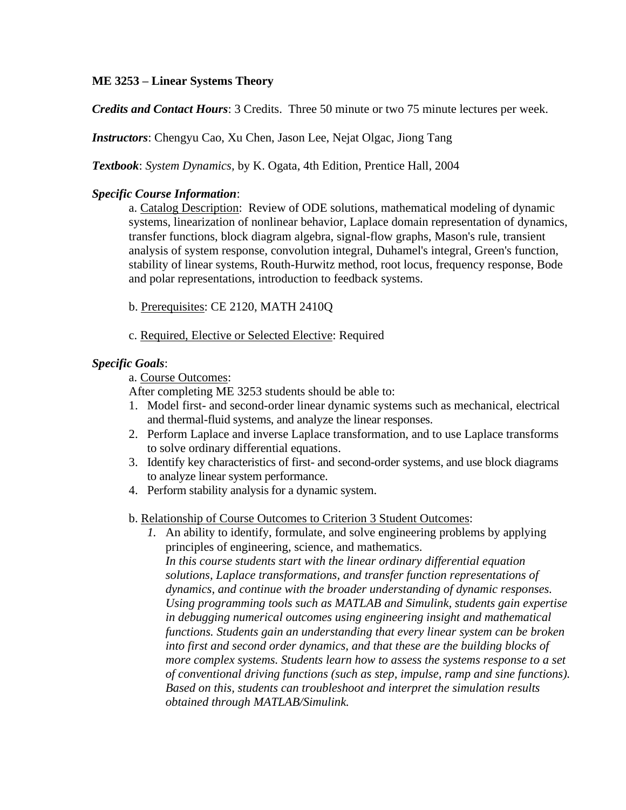# **ME 3253 – Linear Systems Theory**

*Credits and Contact Hours*: 3 Credits. Three 50 minute or two 75 minute lectures per week.

*Instructors*: Chengyu Cao, Xu Chen, Jason Lee, Nejat Olgac, Jiong Tang

*Textbook*: *System Dynamics,* by K. Ogata, 4th Edition, Prentice Hall, 2004

## *Specific Course Information*:

a. Catalog Description: Review of ODE solutions, mathematical modeling of dynamic systems, linearization of nonlinear behavior, Laplace domain representation of dynamics, transfer functions, block diagram algebra, signal-flow graphs, Mason's rule, transient analysis of system response, convolution integral, Duhamel's integral, Green's function, stability of linear systems, Routh-Hurwitz method, root locus, frequency response, Bode and polar representations, introduction to feedback systems.

### b. Prerequisites: CE 2120, MATH 2410Q

#### c. Required, Elective or Selected Elective: Required

### *Specific Goals*:

a. Course Outcomes:

After completing ME 3253 students should be able to:

- 1. Model first- and second-order linear dynamic systems such as mechanical, electrical and thermal-fluid systems, and analyze the linear responses.
- 2. Perform Laplace and inverse Laplace transformation, and to use Laplace transforms to solve ordinary differential equations.
- 3. Identify key characteristics of first- and second-order systems, and use block diagrams to analyze linear system performance.
- 4. Perform stability analysis for a dynamic system.

#### b. Relationship of Course Outcomes to Criterion 3 Student Outcomes:

*1.* An ability to identify, formulate, and solve engineering problems by applying principles of engineering, science, and mathematics. *In this course students start with the linear ordinary differential equation solutions, Laplace transformations, and transfer function representations of dynamics, and continue with the broader understanding of dynamic responses. Using programming tools such as MATLAB and Simulink, students gain expertise in debugging numerical outcomes using engineering insight and mathematical functions. Students gain an understanding that every linear system can be broken into first and second order dynamics, and that these are the building blocks of more complex systems. Students learn how to assess the systems response to a set of conventional driving functions (such as step, impulse, ramp and sine functions). Based on this, students can troubleshoot and interpret the simulation results obtained through MATLAB/Simulink.*